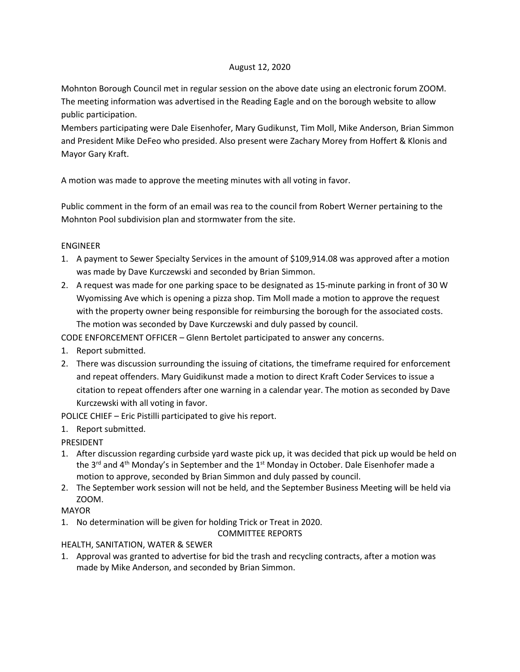## August 12, 2020

Mohnton Borough Council met in regular session on the above date using an electronic forum ZOOM. The meeting information was advertised in the Reading Eagle and on the borough website to allow public participation.

Members participating were Dale Eisenhofer, Mary Gudikunst, Tim Moll, Mike Anderson, Brian Simmon and President Mike DeFeo who presided. Also present were Zachary Morey from Hoffert & Klonis and Mayor Gary Kraft.

A motion was made to approve the meeting minutes with all voting in favor.

Public comment in the form of an email was rea to the council from Robert Werner pertaining to the Mohnton Pool subdivision plan and stormwater from the site.

## ENGINEER

- 1. A payment to Sewer Specialty Services in the amount of \$109,914.08 was approved after a motion was made by Dave Kurczewski and seconded by Brian Simmon.
- 2. A request was made for one parking space to be designated as 15-minute parking in front of 30 W Wyomissing Ave which is opening a pizza shop. Tim Moll made a motion to approve the request with the property owner being responsible for reimbursing the borough for the associated costs. The motion was seconded by Dave Kurczewski and duly passed by council.

CODE ENFORCEMENT OFFICER – Glenn Bertolet participated to answer any concerns.

- 1. Report submitted.
- 2. There was discussion surrounding the issuing of citations, the timeframe required for enforcement and repeat offenders. Mary Guidikunst made a motion to direct Kraft Coder Services to issue a citation to repeat offenders after one warning in a calendar year. The motion as seconded by Dave Kurczewski with all voting in favor.

POLICE CHIEF – Eric Pistilli participated to give his report.

1. Report submitted.

PRESIDENT

- 1. After discussion regarding curbside yard waste pick up, it was decided that pick up would be held on the  $3^{rd}$  and  $4^{th}$  Monday's in September and the  $1^{st}$  Monday in October. Dale Eisenhofer made a motion to approve, seconded by Brian Simmon and duly passed by council.
- 2. The September work session will not be held, and the September Business Meeting will be held via ZOOM.

## MAYOR

1. No determination will be given for holding Trick or Treat in 2020.

COMMITTEE REPORTS

HEALTH, SANITATION, WATER & SEWER

1. Approval was granted to advertise for bid the trash and recycling contracts, after a motion was made by Mike Anderson, and seconded by Brian Simmon.